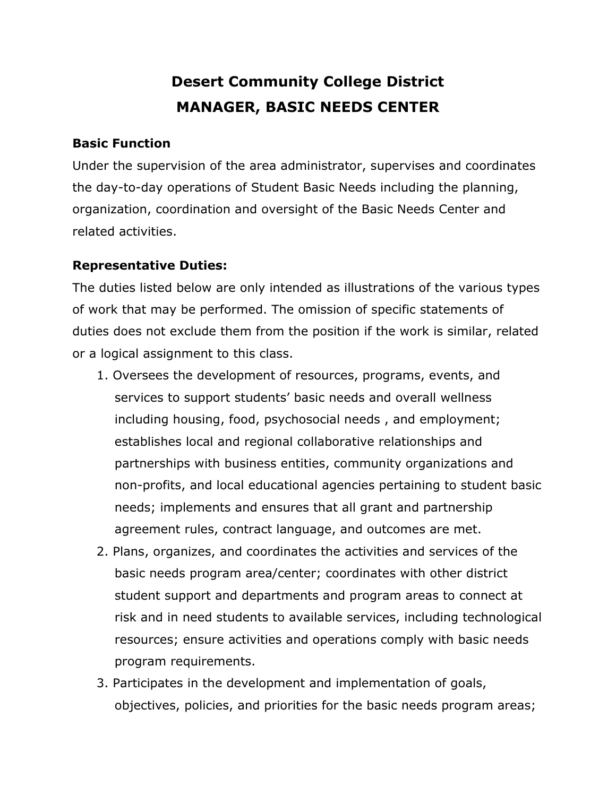# **Desert Community College District MANAGER, BASIC NEEDS CENTER**

#### **Basic Function**

Under the supervision of the area administrator, supervises and coordinates the day-to-day operations of Student Basic Needs including the planning, organization, coordination and oversight of the Basic Needs Center and related activities.

## **Representative Duties:**

The duties listed below are only intended as illustrations of the various types of work that may be performed. The omission of specific statements of duties does not exclude them from the position if the work is similar, related or a logical assignment to this class.

- 1. Oversees the development of resources, programs, events, and services to support students' basic needs and overall wellness including housing, food, psychosocial needs , and employment; establishes local and regional collaborative relationships and partnerships with business entities, community organizations and non-profits, and local educational agencies pertaining to student basic needs; implements and ensures that all grant and partnership agreement rules, contract language, and outcomes are met.
- 2. Plans, organizes, and coordinates the activities and services of the basic needs program area/center; coordinates with other district student support and departments and program areas to connect at risk and in need students to available services, including technological resources; ensure activities and operations comply with basic needs program requirements.
- 3. Participates in the development and implementation of goals, objectives, policies, and priorities for the basic needs program areas;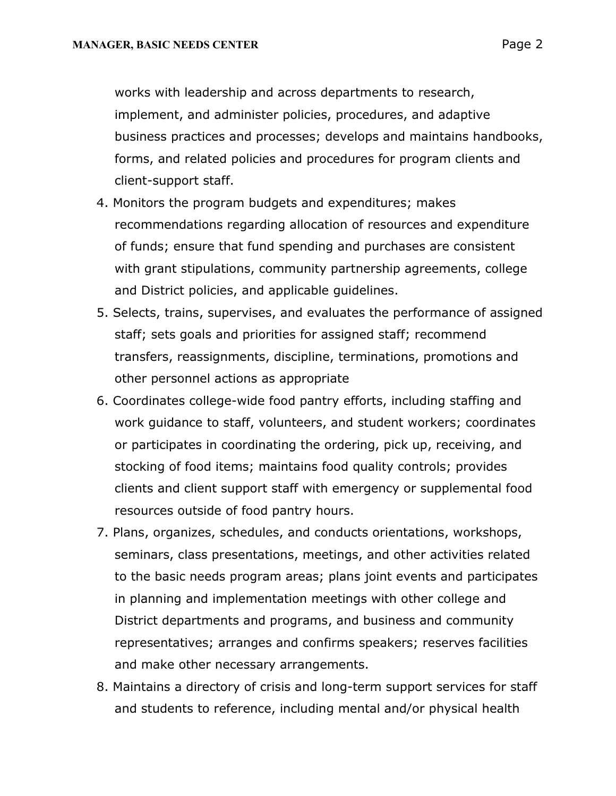works with leadership and across departments to research, implement, and administer policies, procedures, and adaptive business practices and processes; develops and maintains handbooks, forms, and related policies and procedures for program clients and client-support staff.

- 4. Monitors the program budgets and expenditures; makes recommendations regarding allocation of resources and expenditure of funds; ensure that fund spending and purchases are consistent with grant stipulations, community partnership agreements, college and District policies, and applicable guidelines.
- 5. Selects, trains, supervises, and evaluates the performance of assigned staff; sets goals and priorities for assigned staff; recommend transfers, reassignments, discipline, terminations, promotions and other personnel actions as appropriate
- 6. Coordinates college-wide food pantry efforts, including staffing and work guidance to staff, volunteers, and student workers; coordinates or participates in coordinating the ordering, pick up, receiving, and stocking of food items; maintains food quality controls; provides clients and client support staff with emergency or supplemental food resources outside of food pantry hours.
- 7. Plans, organizes, schedules, and conducts orientations, workshops, seminars, class presentations, meetings, and other activities related to the basic needs program areas; plans joint events and participates in planning and implementation meetings with other college and District departments and programs, and business and community representatives; arranges and confirms speakers; reserves facilities and make other necessary arrangements.
- 8. Maintains a directory of crisis and long-term support services for staff and students to reference, including mental and/or physical health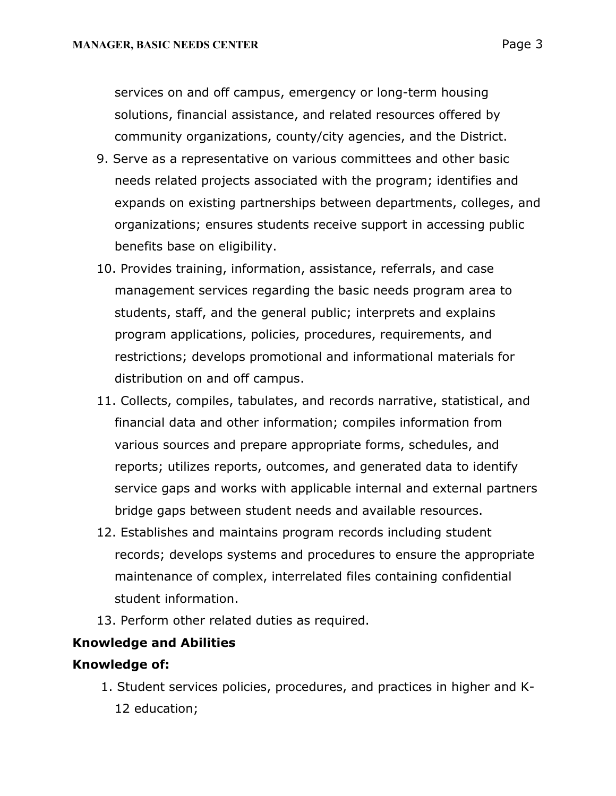services on and off campus, emergency or long-term housing solutions, financial assistance, and related resources offered by community organizations, county/city agencies, and the District.

- 9. Serve as a representative on various committees and other basic needs related projects associated with the program; identifies and expands on existing partnerships between departments, colleges, and organizations; ensures students receive support in accessing public benefits base on eligibility.
- 10. Provides training, information, assistance, referrals, and case management services regarding the basic needs program area to students, staff, and the general public; interprets and explains program applications, policies, procedures, requirements, and restrictions; develops promotional and informational materials for distribution on and off campus.
- 11. Collects, compiles, tabulates, and records narrative, statistical, and financial data and other information; compiles information from various sources and prepare appropriate forms, schedules, and reports; utilizes reports, outcomes, and generated data to identify service gaps and works with applicable internal and external partners bridge gaps between student needs and available resources.
- 12. Establishes and maintains program records including student records; develops systems and procedures to ensure the appropriate maintenance of complex, interrelated files containing confidential student information.
- 13. Perform other related duties as required.

## **Knowledge and Abilities**

## **Knowledge of:**

1. Student services policies, procedures, and practices in higher and K-12 education;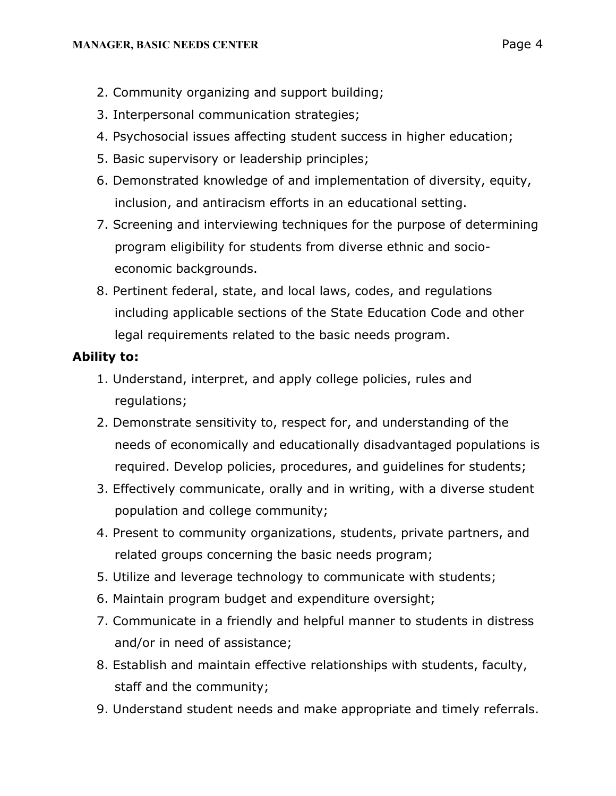- 2. Community organizing and support building;
- 3. Interpersonal communication strategies;
- 4. Psychosocial issues affecting student success in higher education;
- 5. Basic supervisory or leadership principles;
- 6. Demonstrated knowledge of and implementation of diversity, equity, inclusion, and antiracism efforts in an educational setting.
- 7. Screening and interviewing techniques for the purpose of determining program eligibility for students from diverse ethnic and socioeconomic backgrounds.
- 8. Pertinent federal, state, and local laws, codes, and regulations including applicable sections of the State Education Code and other legal requirements related to the basic needs program.

## **Ability to:**

- 1. Understand, interpret, and apply college policies, rules and regulations;
- 2. Demonstrate sensitivity to, respect for, and understanding of the needs of economically and educationally disadvantaged populations is required. Develop policies, procedures, and guidelines for students;
- 3. Effectively communicate, orally and in writing, with a diverse student population and college community;
- 4. Present to community organizations, students, private partners, and related groups concerning the basic needs program;
- 5. Utilize and leverage technology to communicate with students;
- 6. Maintain program budget and expenditure oversight;
- 7. Communicate in a friendly and helpful manner to students in distress and/or in need of assistance;
- 8. Establish and maintain effective relationships with students, faculty, staff and the community;
- 9. Understand student needs and make appropriate and timely referrals.